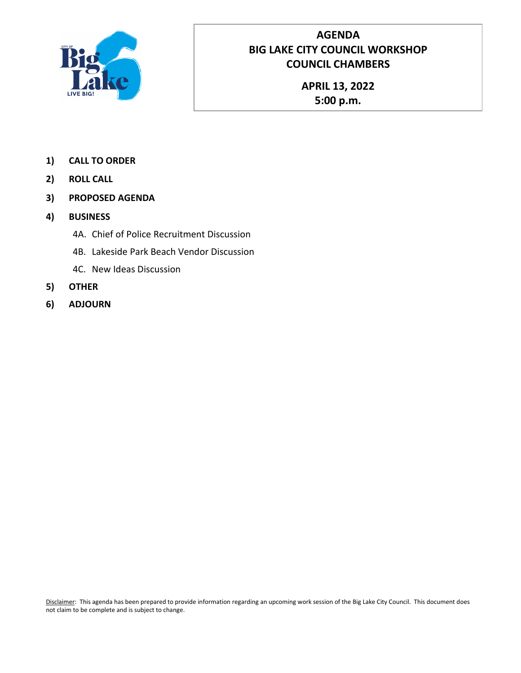

## **AGENDA BIG LAKE CITY COUNCIL WORKSHOP COUNCIL CHAMBERS**

**APRIL 13, 2022 5:00 p.m.**

- **1) CALL TO ORDER**
- **2) ROLL CALL**
- **3) PROPOSED AGENDA**
- **4) BUSINESS**
	- 4A. Chief of Police Recruitment Discussion
	- 4B. Lakeside Park Beach Vendor Discussion
	- 4C. New Ideas Discussion
- **5) OTHER**
- **6) ADJOURN**

Disclaimer: This agenda has been prepared to provide information regarding an upcoming work session of the Big Lake City Council. This document does not claim to be complete and is subject to change.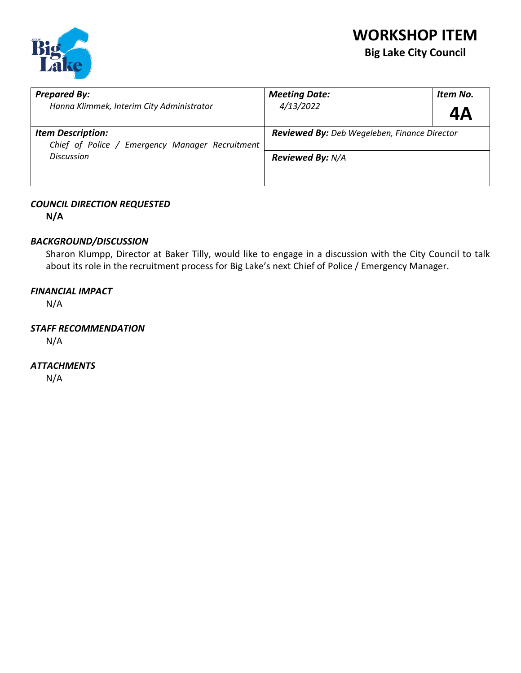

# **WORKSHOP ITEM Big Lake City Council**

| <b>Prepared By:</b>                                                         | <b>Meeting Date:</b>                                | Item No. |
|-----------------------------------------------------------------------------|-----------------------------------------------------|----------|
| Hanna Klimmek, Interim City Administrator                                   | 4/13/2022                                           | 4Α       |
| <b>Item Description:</b><br>Chief of Police / Emergency Manager Recruitment | <b>Reviewed By:</b> Deb Wegeleben, Finance Director |          |
| <b>Discussion</b>                                                           | <b>Reviewed By: N/A</b>                             |          |

#### *COUNCIL DIRECTION REQUESTED*

**N/A**

#### *BACKGROUND/DISCUSSION*

Sharon Klumpp, Director at Baker Tilly, would like to engage in a discussion with the City Council to talk about its role in the recruitment process for Big Lake's next Chief of Police / Emergency Manager.

#### *FINANCIAL IMPACT*

N/A

#### *STAFF RECOMMENDATION*

N/A

#### *ATTACHMENTS*

N/A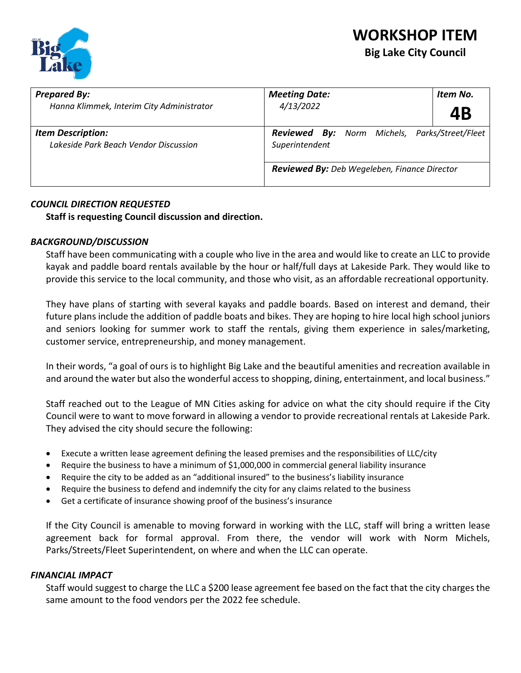

# **WORKSHOP ITEM Big Lake City Council**

| <b>Prepared By:</b><br>Hanna Klimmek, Interim City Administrator  | <b>Meeting Date:</b><br>Item No.<br>4/13/2022                          |  |
|-------------------------------------------------------------------|------------------------------------------------------------------------|--|
|                                                                   | 4Β                                                                     |  |
| <b>Item Description:</b><br>Lakeside Park Beach Vendor Discussion | <b>Reviewed By:</b> Norm Michels, Parks/Street/Fleet<br>Superintendent |  |
|                                                                   | <b>Reviewed By:</b> Deb Wegeleben, Finance Director                    |  |

#### *COUNCIL DIRECTION REQUESTED*

**Staff is requesting Council discussion and direction.** 

#### *BACKGROUND/DISCUSSION*

Staff have been communicating with a couple who live in the area and would like to create an LLC to provide kayak and paddle board rentals available by the hour or half/full days at Lakeside Park. They would like to provide this service to the local community, and those who visit, as an affordable recreational opportunity.

They have plans of starting with several kayaks and paddle boards. Based on interest and demand, their future plans include the addition of paddle boats and bikes. They are hoping to hire local high school juniors and seniors looking for summer work to staff the rentals, giving them experience in sales/marketing, customer service, entrepreneurship, and money management.

In their words, "a goal of ours is to highlight Big Lake and the beautiful amenities and recreation available in and around the water but also the wonderful access to shopping, dining, entertainment, and local business."

Staff reached out to the League of MN Cities asking for advice on what the city should require if the City Council were to want to move forward in allowing a vendor to provide recreational rentals at Lakeside Park. They advised the city should secure the following:

- Execute a written lease agreement defining the leased premises and the responsibilities of LLC/city
- Require the business to have a minimum of \$1,000,000 in commercial general liability insurance
- Require the city to be added as an "additional insured" to the business's liability insurance
- Require the business to defend and indemnify the city for any claims related to the business
- Get a certificate of insurance showing proof of the business's insurance

If the City Council is amenable to moving forward in working with the LLC, staff will bring a written lease agreement back for formal approval. From there, the vendor will work with Norm Michels, Parks/Streets/Fleet Superintendent, on where and when the LLC can operate.

#### *FINANCIAL IMPACT*

Staff would suggest to charge the LLC a \$200 lease agreement fee based on the fact that the city charges the same amount to the food vendors per the 2022 fee schedule.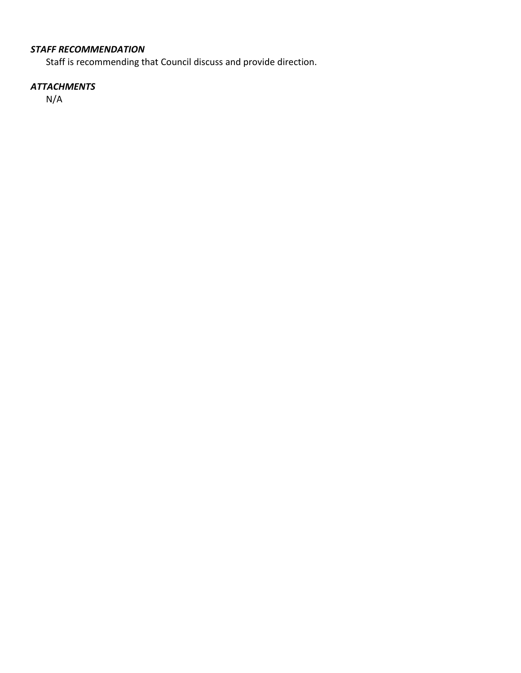## *STAFF RECOMMENDATION*

Staff is recommending that Council discuss and provide direction.

## *ATTACHMENTS*

N/A